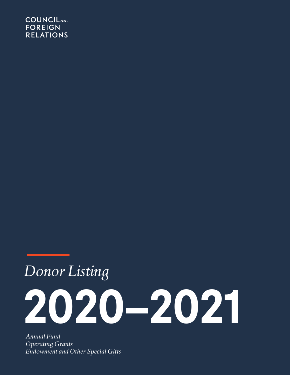# **COUNCIL**<sub>on</sub> **FOREIGN RELATIONS**

# *Donor Listing* **2020–2021**

*Annual Fund Operating Grants Endowment and Other Special Gifts*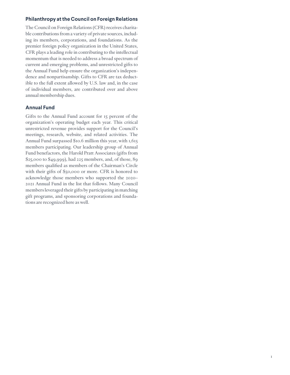## **Philanthropy at the Council on Foreign Relations**

The Council on Foreign Relations (CFR) receives charitable contributions from a variety of private sources, including its members, corporations, and foundations. As the premier foreign policy organization in the United States, CFR plays a leading role in contributing to the intellectual momentum that is needed to address a broad spectrum of current and emerging problems, and unrestricted gifts to the Annual Fund help ensure the organization's independence and nonpartisanship. Gifts to CFR are tax deductible to the full extent allowed by U.S. law and, in the case of individual members, are contributed over and above annual membership dues.

## **Annual Fund**

Gifts to the Annual Fund account for 15 percent of the organization's operating budget each year. This critical unrestricted revenue provides support for the Council's meetings, research, website, and related activities. The Annual Fund surpassed \$10.6 million this year, with 1,615 members participating. Our leadership group of Annual Fund benefactors, the Harold Pratt Associates (gifts from \$25,000 to \$49,999), had 225 members, and, of those, 89 members qualified as members of the Chairman's Circle with their gifts of \$50,000 or more. CFR is honored to acknowledge those members who supported the 2020– 2021 Annual Fund in the list that follows. Many Council members leveraged their gifts by participating in matching gift programs, and sponsoring corporations and foundations are recognized here as well.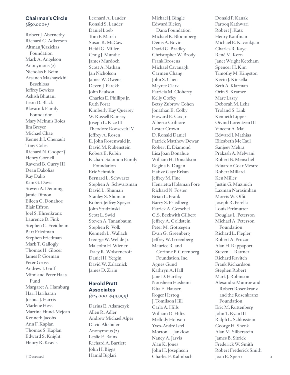## **Chairman's Circle** *(\$50,000+)*

Robert J. Abernethy Richard C. Adkerson Altman/Kazickas Foundation Mark A. Angelson Anonymous (2) Nicholas F. Beim Afsaneh Mashayekhi Beschloss Jeffrey Bewkes Ashish Bhutani Leon D. Black Blavatnik Family Foundation Mary McInnis Boies Jim Breyer Michael Chae Kenneth I. Chenault Tony Coles Richard N. Cooper† Henry Cornell Ravenel B. Curry III Dean Dakolias Ray Dalio Kim G. Davis Steven A. Denning Jamie Dimon Eileen C. Donahoe Blair Effron Joel S. Ehrenkranz Laurence D. Fink Stephen C. Freidheim Bart Friedman Stephen Friedman Mark T. Gallogly Thomas H. Glocer James P. Gorman Peter Gross Andrew J. Guff Mimi and Peter Haas Fund Margaret A. Hamburg Hari Hariharan Joshua J. Harris Marlene Hess Martina Hund-Mejean Kenneth Jacobs Ann F. Kaplan Thomas S. Kaplan Edward S. Knight Henry R. Kravis

Leonard A. Lauder Ronald S. Lauder Daniel Loeb Tom F. Marsh Susan R. McCaw Heidi G. Miller Craig J. Mundie James Murdoch Scott A. Nathan Jan Nicholson James W. Owens Deven J. Parekh John Paulson Charles E. Phillips Jr. Ruth Porat Kimberly Kay Querrey W. Russell Ramsey Joseph L. Rice III Theodore Roosevelt IV Jeffrey A. Rosen E. John Rosenwald Jr. David M. Rubenstein Robert E. Rubin Richard Salomon Family Foundation Eric Schmidt Bernard L. Schwartz Stephen A. Schwarzman David L. Shuman Stanley S. Shuman Robert Jeffrey Speyer John Studzinski Scott L. Swid Steven A. Tananbaum Stephen R. Volk Kenneth L. Wallach George W. Wellde Jr. Malcolm H. Wiener Tracy R. Wolstencroft Daniel H. Yergin David W. Zalaznick James D. Zirin

## **Harold Pratt Associates** *(\$25,000–\$49,999)*

Darius E. Adamczyk Allen R. Adler Andrew Michael Alper David Altshuler Anonymous (2) Leslie E. Bains Richard A. Bartlett John H. Biggs Hamid Biglari Charles F. Kalmbach † Deceased Joan E. Spero

Michael J. Bingle Edward Bleier/ Dana Foundation Michael R. Bloomberg Denis A. Bovin David G. Bradley Christopher W. Brody Frank Brosens Michael Cavanagh Carmen Chang John S. Chen Mayree Clark Patricia M. Cloherty Kelly Coffey Betsy Zubrow Cohen Jonathan E. Colby Howard E. Cox Jr. Alberto Cribiore Lester Crown D. Ronald Daniel Patrick Matthew Dewar Robert E. Diamond Lisa Joan Donahue William H. Donaldson Regina E. Dugan Hafize Gaye Erkan Jeffrey M. Fine Henrietta Holsman Fore Richard N. Foster Brian L. Frank Barry S. Friedberg Patrick A. Gerschel G.S. Beckwith Gilbert Jeffrey A. Goldstein Peter M. Gottsegen Evan G. Greenberg Jeffrey W. Greenberg Maurice R. and Corinne P. Greenberg Foundation, Inc. Agnes Gund Kathryn A. Hall Jane D. Hartley Noosheen Hashemi Rita E. Hauser Roger Hertog J. Tomilson Hill Carla A. Hills William O. Hiltz Mellody Hobson Yves-André Istel Morton L. Janklow Nancy A. Jarvis Alan K. Jones John H. Josephson

Donald P. Kanak Farooq Kathwari Robert J. Katz Henry Kaufman Michael E. Kavoukjian Charles R. Kaye René M. Kern Janet Wright Ketcham Spencer H. Kim Timothy M. Kingston Kevin J. Kinsella Seth A. Klarman Orin S. Kramer Marc Lasry Deborah M. Lehr Troland S. Link Kenneth Lipper Oivind Lorentzen III Vincent A. Mai Edward J. Mathias Elizabeth McCaul Sanjeev Mehra Prakash A. Melwani Robert B. Menschel Eduardo Goar Mestre Robert Millard Ken Miller Justin G. Muzinich Laxman Narasimhan Morris W. Offit Joseph R. Perella Louis Perlmutter Douglas L. Peterson Michael A. Peterson Foundation Richard L. Plepler Robert A. Pruzan Alan H. Rappaport Steven L. Rattner Richard Ravitch Frank Richardson Stephen Robert Mark J. Robinson Alexandra Munroe and Robert Rosenkranz and the Rosenkranz Foundation Eric M. Ruttenberg John T. Ryan III Ralph L. Schlosstein George H. Shenk Alan M. Silberstein James B. Sitrick Frederick W. Smith Robert Frederick Smith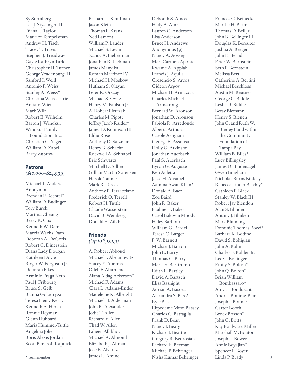Sy Sternberg Lee J. Styslinger III Diana L. Taylor Maurice Tempelsman Andrew H. Tisch Tracey T. Travis Stephen J. Treadway Gayle Kathryn Turk Christopher H. Turner George Vradenburg III Sanford I. Weill Antonio F. Weiss Stanley A. Weiss† Christina Weiss Lurie Anita V. Wien Mark Wilf Robert E. Wilhelm Barton J. Winokur Winokur Family Foundation, Inc. Christian C. Yegen William D. Zabel Barry Zubrow

### **Patrons**

*(\$10,000–\$24,999)*

Michael T. Anders Anonymous Brendan P. Bechtel\* William D. Budinger Tory Burch Martina Cheung Berry R. Cox Kenneth W. Dam Marcia Wachs Dam Deborah A. DeCotis Robert C. Dinerstein Diana Lady Dougan Kathleen Doyle Roger W. Ferguson Jr. Deborah Fikes Arminio Fraga Neto Paul J. Fribourg Bruce S. Gelb Bianna Golodryga Teresa Heinz Kerry Kenneth A. Hersh Ronnie Heyman Glenn Hubbard Maria Hummer-Tuttle Angelina Jolie Boris Alexis Jordan Scott Bancroft Kapnick

Richard L. Kauffman Jason Klein Thomas F. Kranz Ned Lamont William P. Lauder Michael S. Levin Nancy A. Lieberman Jonathan R. Liebman James Manyika Roman Martinez IV Michael H. Moskow Hutham S. Olayan Peter R. Orszag Michael S. Ovitz Henry M. Paulson Jr. A. Robert Pietrzak Charles M. Pigott Jeffrey Jacob Raider\* James D. Robinson III Elihu Rose Anthony D. Salzman Henry B. Schacht Rockwell A. Schnabel Eric Schwartz Mitchell D. Silber Gillian Martin Sorensen Harold Tanner Mark R. Tercek Anthony P. Terracciano Frederick O. Terrell Robert H. Tuttle Claude Wasserstein David B. Weinberg Donald E. Zilkha

## **Friends** *(Up to \$9,999)*

A. Robert Abboud Michael J. Abramowitz Stacey Y. Abrams Odeh F. Aburdene Alana Aldag Ackerson\* Michael F. Adams Clara L. Adams-Ender Madeleine K. Albright Michael H. Alderman John R. Alexander Jodie T. Allen Richard V. Allen Thad W. Allen Faheen Allibhoy Michael A. Almond Elizabeth J. Altman Jose E. Alvarez James L. Amine

Deborah S. Amos Hady A. Amr Lauren C. Anderson Lisa Anderson Bruce H. Andrews Anonymous (9) Nancy A. Aossey Mari Carmen Aponte Kwame A. Appiah Francis J. Aquila Cresencio S. Arcos Gideon Argov Michael H. Armacost Charles Michael Armstrong Bernard W. Aronson Jonathan D. Aronson Fabiola R. Arredondo Alberta Arthurs Carole Artigiani George E. Assousa Holly G. Atkinson Jonathan Auerbach Paul S. Auerbach Byron G. Auguste Ken Auletta Jesse H. Ausubel Aamina Awan Khan\* Donald A. Baer Zoë Baird John R. Baker Pauline H. Baker Carol Baldwin Moody Haley Barbour William G. Bardel Teresa C. Barger F. W. Barnett Michael J. Barron John L. Barry Thomas C. Barry Maria S. Bartiromo Edith L. Bartley David A. Bartsch Elisa Basnight Adrian A. Basora Alexandra S. Bass\* Kyle Bass Ekpedeme Mfon Bassey Charles C. Battaglia Frank D. Bean Nancy J. Bearg Richard I. Beattie Gregory R. Bedrosian Richard E. Beeman Michael P. Behringer Nisha Kumar Behringer \* Term member Linda P. Brady

Frances G. Beinecke Martha H. Bejar Thomas D. Bell Jr. John B. Bellinger III Douglas K. Bereuter Joshua A. Berger John E. Berndt Peter W. Bernstein Seth P. Bernstein Melissa Bert Catherine A. Bertini Michael Beschloss Austin M. Beutner George C. Biddle Leslie D. Biddle Betsy Biemann Henry S. Bienen John C. and Ruth W. Bierley Fund within the Community Foundation of Tampa Bay William B. Biles\* Lucy Billingsley James D. Bindenagel Gwen Bingham Nicholas Burns Binkley Rebecca Linder Blachly\* Cathleen P. Black Stanley W. Black III Robert Jay Blendon Alan S. Blinder Antony J. Blinken Mark Blumling Dominic Thomas Bocci\* Barbara K. Bodine David S. Bohigian John A. Bohn Charles F. Bolden Jr. Lee C. Bollinger Emily S. Bolton\* John Q. Bolton\* Brian William Bombassaro\* Amy L. Bondurant Andrea Bonime-Blanc Joseph J. Bonner Carter Booth Brock Bosson\* John C. Botts Kay Boulware-Miller Marshall M. Bouton Joseph L. Bower Annie Boyajian\* Spencer P. Boyer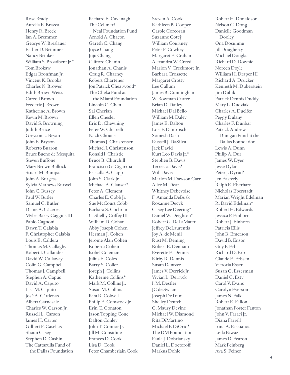Rose Brady Aurelia E. Brazeal Henry R. Breck Ian A. Bremmer George W. Breslauer Esther D. Brimmer Nancy Brinker William S. Broadbent Jr.\* Tom Brokaw Edgar Bronfman Jr. Vincent K. Brooks Charles N. Brower Edith Brown Weiss Carroll Brown Frederic J. Brown Katherine A. Brown Kevin M. Brown David S. Browning Judith Bruce Greyson L. Bryan John E. Bryson Roberto Buaron Bruce Bueno de Mesquita Steven Buffone Mary Brown Bullock Stuart M. Bumpas John A. Burgess Sylvia Mathews Burwell John C. Bussey Paul W. Butler Samuel C. Butler Diane A. Cáceres Myles Barry Caggins III Pablo Cagnoni Dawn T. Calabia F. Christopher Calabia Louis E. Caldera Thomas M. Callaghy Robert J. Callander David W. Callaway Colin G. Campbell Thomas J. Campbell Stephen A. Capus David A. Caputo Lisa M. Caputo José A. Cárdenas Albert Carnesale Charles W. Carson Jr. Russell L. Carson James H. Carter Gilbert F. Casellas Shaun Casey Stephen D. Cashin The Cattarulla Fund of the Dallas Foundation

Richard E. Cavanagh The Cellmer/ Neal Foundation Fund Arnold A. Chacón Gareth C. Chang Joyce Chang Juju Chang Clifford Chanin Jonathan A. Chanis Craig R. Charney Robert Chartener Jon Patrick Cheatwood\* The Cheka Fund at the Miami Foundation Lincoln C. Chen Saj Cherian Ellen Chesler Eric D. Chewning Peter W. Chiarelli Nazli Choucri Thomas J. Christensen Michael J. Christenson Ronald I. Christie Bruce B. Churchill Francisco G. Cigarroa Priscilla A. Clapp John S. Clark Jr. Michael A. Clauser\* Peter A. Clement Charles E. Cobb Jr. Sue McCourt Cobb Barbara S. Cochran C. Shelby Coffey III William D. Cohan Abby Joseph Cohen Herman J. Cohen Jerome Alan Cohen Roberta Cohen Isobel Coleman Julius E. Coles Barry S. Coller Joseph J. Collins Katherine Collins\* Mark M. Collins Jr. Susan M. Collins Rita R. Colwell Philip E. Comstock Jr. Erin C. Conaton Jason Topping Cone Dalton Conley John T. Connor Jr. Jill M. Considine Frances D. Cook Lisa D. Cook Peter Chamberlain Cook Steven A. Cook Kathleen B. Cooper Carole Corcoran Suzanne Cott† William Courtney Peter F. Cowhey Margaret E. Crahan Alexandra W. Creed Marion V. Creekmore Jr. Barbara Crossette Margaret Crotty Lee Cullum James B. Cunningham W. Bowman Cutter Brian D. Dailey Michael Dal Bello William M. Daley James E. Dalton Lori F. Damrosch Somesh Dash Russell J. DaSilva Jack David Kurt Leo Davis Jr.\* Stephen B. Davis Terressa Davis\* Will Davis Marion M. Dawson Carr Alice M. Dear Whitney Debevoise F. Amanda DeBusk Roxanne Decyk Casey Lee Deering\* Daniel W. Deighton\* Robert G. DeLaMater Jeffrey DeLaurentis Joy A. de Menil Rust M. Deming Robert E. Denham Everette E. Dennis Kirby R. Dennis Susan Dentzer James V. Derrick Jr. Vivian L. Derryck I. M. Destler JC de Swaan Joseph DeTrani Shelley Deutch C. Maury Devine Michael W. Diamond Rita DiMartino Michael P. DiOrio\* The DM Foundation Paula J. Dobriansky Daniel L. Doctoroff Markus Dohle

Robert H. Donaldson Nelson G. Dong Danielle Goodman Dooley Ona Dosunmu Jill Dougherty Michael Douglas Richard D. Downie Noreen Doyle William H. Draper III Richard A. Drucker Kenneth M. Duberstein Jim Dubik Patrick Dennis Duddy Mary L. Dudziak Charles A. Duelfer Peggy Dulany Charles F. Dunbar Patrick Andrew Dunigan Fund at the Dallas Foundation Lewis A. Dunn Philip A. Dur James W. Dyer Jesse Dylan Peter J. Dyrud\* Jen Easterly Ralph E. Eberhart Nicholas Eberstadt Marian Wright Edelman R. David Edelman\* Robert H. Edwards Jessica P. Einhorn Robert J. Einhorn Patricia Ellis John B. Emerson David B. Ensor Guy F. Erb Richard D. Erb Claude E. Erbsen Victoria Esser Susan G. Esserman Daniel C. Esty Carol V. Evans Carolyn Everson James N. Falk Robert E. Fallon Jonathan Foster Fanton John V. Faraci Jr. Diana Farrell Irina A. Faskianos Leila Fawaz James D. Fearon Mark Feinberg

Ava S. Feiner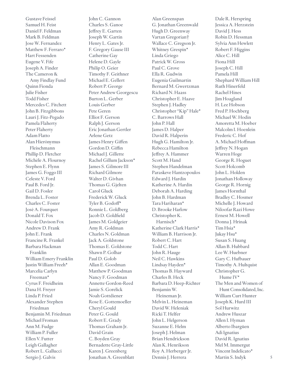Gustave Feissel Samuel H. Feist Daniel F. Feldman Mark B. Feldman Jose W. Fernandez Matthew F. Ferraro\* Hart Fessenden Eugene V. Fife Joseph A. Finder The Cameron & Amy Findlay Fund Quinn Fionda Julie Fisher Todd Fisher Mercedes C. Fitchett John B. Fitzgibbons Lauri J. Fitz-Pegado Pamela Flaherty Peter Flaherty Adam Flatto Alan Hierónymus Fleischmann Phillip D. Fletcher Michèle A. Flournoy Stephen E. Flynn James G. Foggo III Celeste V. Ford Paul B. Ford Jr. Gail D. Fosler Brenda L. Foster Charles C. Foster José A. Fourquet Donald T. Fox Nicole Davison Fox Andrew D. Frank John E. Frank Francine R. Frankel Barbara Hackman Franklin William Emery Franklin Justin William Freeh\* Marcelia Carlyn Freeman\* Cyrus F. Freidheim Dana H. Freyer Linda P. Fried Alexander Stephen Friedman Benjamin M. Friedman Michael Froman Ann M. Fudge William P. Fuller Ellen V. Futter Leigh Gallagher Robert L. Gallucci Sergio J. Galvis

John C. Gannon Charles S. Ganoe Jeffrey E. Garten Joseph W. Gartin Henry L. Gates Jr. F. Gregory Gause III Catherine Gay Helene D. Gayle Philip O. Geier Timothy F. Geithner Michael E. Gellert Robert P. George Peter Andrew Georgescu Burton L. Gerber Louis Gerber Pete Geren Elliot F. Gerson Ralph J. Gerson Eric Jonathan Gertler Arlene Getz James Henry Giffen Gordon D. Giffin Michael J. Gillette Rachel Gillum Jackson\* James S. Gilmore III Richard Gilmore Walter D. Givhan Thomas G. Gjelten Carol Gluck Frederick W. Gluck Tyler B. Godoff\* Ronnie L. Goldberg Jacob D. Goldfield James M. Goldgeier Amy R. Goldman Charles N. Goldman Jack A. Goldstone Thomas E. Goldstone Shawn P. Golhar Paul D. Golob Allan E. Goodman Matthew P. Goodman Nancy F. Goodman Annette Gordon-Reed Jamie S. Gorelick Noah Gottdiener Rose E. Gottemoeller Cheryl Gould Peter G. Gould Robert E. Grady Thomas Graham Jr. David Grain C. Boyden Gray Bernadette Gray-Little Karen J. Greenberg Jonathan A. Greenblatt

Alan Greenspan G. Jonathan Greenwald Hugh D. Greenway Vartan Gregorian† Wallace C. Gregson Jr. Whitney Grespin\* Linda Griego Patrick W. Gross Paul C. Grove Ella R. Gudwin Eugenia Guilmartin Bernard M. Gwertzman Richard N. Haass Christopher E. Haave Stephen J. Hadley Christopher "Kip" Hale\* C. Barrows Hall John P. Hall James D. Halper David R. Halperin Hugh G. Hamilton Jr. Rebecca Hamilton Jeffrey A. Hammer Scott M. Hand Stephen Handelman Paraskeve Hantzopoulos Edward J. Hardin Katherine A. Hardin Deborah A. Harding John B. Hardman Tara Hariharan\* D. Brooke Harlow Christopher K. Harnisch\* Katherine Clark Harris\* William B. Harrison Jr. Robert C. Hart Todd C. Hart John R. Hauge Neil C. Hawkins Lindsay Hayden\* Thomas B. Hayward Charles B. Heck Barbara D. Heep-Richter Benjamin W. Heineman Jr. Melvin L. Heineman David W. Heleniak Ricki T. Helfer John L. Helgerson Suzanne E. Helm Joseph J. Helman Brian Hendrickson Alan K. Henrikson Roy A. Herberger Jr. Dennis J. Herrera

Dale R. Herspring Jessica A. Herzstein David J. Hess Robin D. Hessman Sylvia Ann Hewlett Robert F. Higgins Alice C. Hill Fiona Hill Joseph C. Hill Pamela Hill Shephard William Hill Ruth Hinerfeld Rachel Hines Jim Hoagland H. Lee Hobson Fred P. Hochberg Michael W. Hodin Amoretta M. Hoeber Malcolm I. Hoenlein Frederic C. Hof A. Michael Hoffman Jeffrey N. Hogan Warren Hoge George R. Hoguet Scott Holcomb John L. Holden Jonathan Holloway George R. Hornig James Hornthal Bradley C. Hosmer Michelle J. Howard Niloofar Razi Howe Ernest M. Howell Donna J. Hrinak Tim Hsia\* Jukay Hsu\* Susan S. Huang Allan B. Hubbard Lee W. Huebner Gary C. Hufbauer Timothy A. Hultquist Christopher G. Hume IV\* The Men and Women of Hunt Consolidated, Inc. William Curt Hunter Joseph K. Hurd III Sol Hurwitz Andrew Huszar Allen I. Hyman Alberto Ibargüen Adi Ignatius David R. Ignatius Mel M. Immergut Vincent Indelicato\* Martin S. Indyk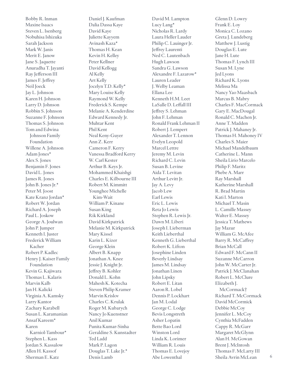Bobby R. Inman Maxine Isaacs Steven L. Isenberg Nobuhisa Ishizuka Sarah Jackson Mark W. Janis Merit E. Janow Jane S. Jaquette Anuradha T. Jayanti Ray Jefferson III James F. Jeffrey Neil Joeck Jay L. Johnson Karen H. Johnson Larry D. Johnson Robbin S. Johnson Suzanne F. Johnson Thomas S. Johnson Tom and Edwina Johnson Family Foundation Willene A. Johnson Adam Jones\* Alex S. Jones Benjamin F. Jones David L. Jones James R. Jones John B. Jones Jr.\* Peter M. Joost Kate Kranz Jordan\* Robert W. Jordan Richard A. Joseph Paul L. Joskow George A. Joulwan John P. Jumper Kenneth I. Juster Frederick William Kacher Robert P. Kadlec Henry J. Kaiser Family Foundation Kevin G. Kajiwara Thomas L. Kalaris Marvin Kalb Jan H. Kalicki Virginia A. Kamsky Larry Kantor Zachary Karabell Susan L. Karamanian Ansaf Kareem\* Karen Karniol-Tambour\* Stephen L. Kass Jordan S. Kassalow Allen H. Kassof Sherman E. Katz

Daniel J. Kaufman Dalia Dassa Kaye David Kaye Juliette Kayyem Avinash Kaza\* Thomas H. Kean Kevin H. Kelley Peter Kellner David Kellogg Al Kelly Art Kelly Jocelyn T.D. Kelly\* Mary Louise Kelly Raymond W. Kelly Frederick S. Kempe Melanie A. Kenderdine Edward Kennedy Jr. Muhtar Kent Phil Kent Neal Keny-Guyer Ann Z. Kerr Cameron F. Kerry Vanessa Bradford Kerry W. Carl Kester Arthur B. Keys Jr. Mohammed Khaishgi Charles E. Kilbourne III Robert M. Kimmitt Younghee Michelle Kim-Wait William P. Kinane Susan King Rik Kirkland David Kirkpatrick Melanie M. Kirkpatrick Mary Kissel Karin L. Kizer George Klein Albert B. Knapp Jonathan A. Knee Jessie J. Knight Jr. Jeffrey B. Kohler Donald L. Kohn Mahesh K. Kotecha Steven Philip Kramer Marvin Krislov Charles C. Krulak Roger M. Kubarych Nancy Jo Kuenstner Anil Kumar Punita Kumar-Sinha Geraldine S. Kunstadter Ted Ladd Mark P. Lagon Douglas T. Lake Jr.\* Denis Lamb

David M. Lampton Lucy Lang\* Nicholas R. Lardy Laura Heller Lauder Philip C. Lauinger Jr. Jeffrey Laurenti Ned C. Lautenbach Hugh Lawson Sandra G. Lawson Alexandre F. Lazarow\* Lauren Leader J. Welby Leaman Ellana Lee Kenneth H.M. Leet LaSalle D. Leffall III Jeffrey S. Lehman John F. Lehman Ronald Frank Lehman II Robert J. Lempert Alexander T. Lennon Evelyn Leopold Marcel Lettre Jeremy M. Levin Richard C. Levin Susan B. Levine Aida T. Levitan Arthur Levitt Jr. Jay A. Levy Jacob Lew Earl Lewis Eric L. Lewis Reta Jo Lewis Stephen R. Lewis Jr. Dawn M. Liberi Joseph I. Lieberman Keith Lieberthal Kenneth G. Lieberthal Robert K. Lifton Josephine Linden Beverly Lindsay James M. Lindsay Jonathan Linen John Lipsky Robert E. Litan Aaron R. Lobel Dennis P. Lockhart Jan M. Lodal George C. Lodge Bevis Longstreth Asher Lopatin Bette Bao Lord Winston Lord Linda K. Lorimer William R. Louis Thomas E. Lovejoy Abe Lowenthal

Glenn D. Lowry Frank E. Loy Monica C. Lozano Greta J. Lundeberg Matthew J. Lustig Douglas E. Lute Jane H. Lute Thomas F. Lynch III Susan M. Lyne Jed Lyons Richard K. Lyons Melissa Ma Nancy Yao Maasbach Marcus B. Mabry Charles F. MacCormack Gary E. MacDougal Ronald C. Machen Jr. Anne T. Madden Patrick J. Mahaney Jr. Thomas H. Mahoney IV Charles S. Maier Michael Mandelbaum Catherine L. Mann Sheila Lirio Marcelo Philip F. Maritz Phebe A. Marr Ray Marshall Katherine Marshall R. Brad Martin Kati I. Marton Michael T. Masin L. Camille Massey Walter E. Massey Jessica T. Mathews Jay Mazur William G. McAfee Barry R. McCaffrey Brian McCall Edward F. McCann II Suzanne McCarron John W. McCarter Jr. Patrick J. McClanahan Robert L. McClure Elizabeth J. McCormack† Richard T. McCormack David McCormick Debbie McCoy Jennifer L. McCoy Cynthia McFadden Cappy R. McGarr Margaret McGlynn Alan H. McGowan Brent J. McIntosh Thomas F. McLarty III Sheila Avrin McLean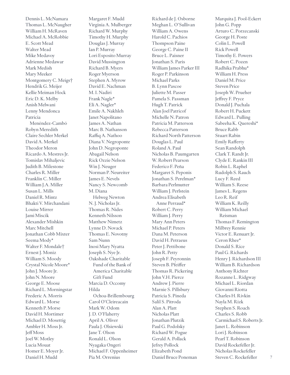Dennis L. McNamara Thomas L. McNaugher William H. McRaven Michael A. McRobbie E. Scott Mead Walter Mead Mike Medavoy Adrienne Medawar Mark Medish Mary Meeker Montgomery C. Meigs† Hendrik G. Meijer Kellie Meiman Hock Eric D. K. Melby Anish Melwani Lenny Mendonca Patricia Menéndez-Cambó Robyn Meredith Claire Sechler Merkel David A. Merkel Theodor Meron Ricardo A. Mestres Jr. Tomislav Mihaljevic Judith B. Milestone Charles R. Miller Franklin C. Miller William J.A. Miller Susan L. Mills Daniel R. Mintz Bhakti V. Mirchandani Louise Mirrer Jami Miscik Alexander Mishkin Marc Mitchell Jonathan Cobb Mixter Seema Mody\* Walter F. Mondale† Ernest J. Moniz William S. Moody Crystal Nicole Moore\* John J. Moore Jr. John N. Moore George E. Moose Richard L. Morningstar Frederic A. Morris Edward L. Morse Kenneth P. Morse David H. Mortimer Michael D. Mosettig Ambler H. Moss Jr. Jeff Moss Joel W. Motley Lucia Mouat Homer E. Moyer Jr. Daniel H. Mudd

Margaret F. Mudd Virginia A. Mulberger Richard W. Murphy Timothy H. Murphy Douglas J. Murray Ian P. Murray Lori Esposito Murray David Mussington Richard B. Myers Roger Myerson Stephen A. Myrow David E. Nachman M. I. Nadiri Frank Nagle\* Eli A. Nagler\* Emile A. Nakhleh Janet Napolitano James A. Nathan Marc B. Nathanson Raffiq A. Nathoo Diana V. Negroponte John D. Negroponte Abagail Nelson Rick Ozzie Nelson Win J. Neuger Norman P. Neureiter James E. Nevels Nancy S. Newcomb M. Diana Helweg Newton N. J. Nicholas Jr. Thomas R. Nides Kenneth Nilsson Matthew Nimetz Lynne D. Novack Thomas E. Novotny Sam Nunn Inosi Mary Nyatta Joseph S. Nye Jr. Oakshade Charitable Fund of the Bank of America Charitable Gift Fund Marcia D. Occomy Hilda Ochoa-Brillembourg Carol O'Cleireacain Mark W. Odom J. D. O'Flaherty April A. Oliver Paula J. Olsiewski Jane T. Olson Ronald L. Olson Nyagaka Ongeri Michael F. Oppenheimer Pia M. Orrenius

Richard de J. Osborne Meghan L. O'Sullivan William A. Owens Harold C. Pachios Thompson Paine George C. Paine II Bruce L. Paisner Jonathan S. Paris William James Parker III Roger P. Parkinson Michael Parks B. Lynn Pascoe Juliette M. Passer Pamela S. Passman Hugh T. Patrick Alan Joel Patricof Michelle N. Patron Patricia M. Patterson Rebecca Patterson Richard North Patterson Douglas L. Paul Roland A. Paul Nicholas B. Paumgarten W. Robert Pearson Federico F. Peña Margaret S. Peponis Jonathan S. Perelman\* Barbara Perlmutter William J. Perlstein Andrea Elisabeth Anne Perraud\* Robert C. Perry William J. Perry Mary Ann Peters Michael P. Peters Dana M. Peterson David H. Petraeus Peter J. Pettibone John R. Petty Joseph F. Peyronnin Steven B. Pfeiffer Thomas R. Pickering John V.H. Pierce Andrew J. Pierre Marnie S. Pillsbury Patricia S. Pineda Salil S. Pitroda Alan A. Platt Nicholas Platt Jonathan Plutzik Paul G. Podolsky Richard W. Pogue Gerald A. Pollack Jefrey Pollock Elizabeth Pond Daniel Bruce Poneman

Marquita J. Pool-Eckert John G. Popp Arturo C. Porzecanski George H. Poste Colin L. Powell Rick Powell Timothy E. Powers Robert C. Pozen Radhika Prabhu\* William H. Press Daniel M. Price Steven Price Joseph W. Prueher Jeffrey F. Pryce Donald J. Puchala Robert H. Puckett Edward L. Pulling Sabeeha K. Quereshi\* Bruce Rabb Stuart Rabin Emily Rafferty Sean Randolph Clark T. Randt Jr. Clyde E. Rankin III Robin L. Raphel Rudolph S. Rauch Lucy F. Reed William S. Reese James L. Regens Leo R. Reif William K. Reilly William Michael Reisman Thomas F. Remington Milbrey Rennie Victor E. Renuart Jr. Ceron Rhee\* Donald S. Rice Paul G. Richards Henry J. Richardson III William B. Richardson Anthony Richter Rozanne L. Ridgway Michael L. Riordan Giovanni Riotta Charles H. Rivkin Nayla M. Rizk Stephen S. Roach Charles S. Robb Carmichael S. Roberts Jr. Janet L. Robinson Lori J. Robinson Pearl T. Robinson David Rockefeller Jr. Nicholas Rockefeller

7

Steven C. Rockefeller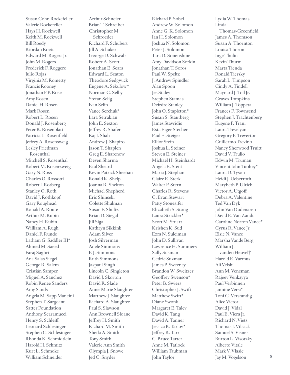Susan Cohn Rockefeller Valerie Rockefeller Hays H. Rockwell Keith M. Rockwell Bill Roedy Riordan Roett Edward M. Rogers Jr. John M. Rogers Frederick F. Roggero Julio Rojas Virginia M. Rometty Francis Rooney Jonathan F.P. Rose Amy Rosen Daniel H. Rosen Mark Rosen Robert L. Rosen Donald J. Rosenberg Peter R. Rosenblatt Patricia L. Rosenfield Jeffrey A. Rosensweig Lesley Friedman Rosenthal Mitchell S. Rosenthal Robert M. Rosenzweig Gary N. Ross Charles O. Rossotti Robert I. Rotberg Stanley O. Roth David J. Rothkopf Gary Roughead Ronald A. Route Arthur M. Rubin Nancy H. Rubin William A. Rugh Daniel F. Runde Latham G. Saddler III\* Ahmed M. Saeed Faraj Saghri Ana Salas Siegel George R. Salem Cristián Samper Miguel A. Sanchez Robin Renee Sanders Amy Sands Angela M. Sapp Mancini Stephen T. Sargeant Satter Foundation Anthony Scaramucci Henry S. Schleiff Leonard Schlesinger Stephen C. Schlesinger Rhonda K. Schmidtlein Harold H. Schmitz Kurt L. Schmoke William Schneider

Arthur Schneier Brian T. Schreiber Christopher M. Schroeder Richard F. Schubert Jill A. Schuker George D. Schwab Robert A. Scott Jonathan E. Sears Edward L. Seaton Theodore Sedgwick Eugene A. Sekulow† Norman C. Selby Stefan Selig Ivan Selin Vance Serchuk\* Lara Setrakian John E. Sexton Jeffrey R. Shafer Raj J. Shah Andrew J. Shapiro Jason T. Shaplen Greg E. Sharenow Deven Sharma Paul Sheard Kevin Patrick Sheehan Ronald K. Shelp Joanna R. Shelton Michael Shepherd Eric Shinseki Colette Shulman Susan F. Shultz Brian D. Siegal Jill Sigal Kathryn Sikkink Adam Silver Josh Silverman Adele Simmons P. J. Simmons Ruth Simmons Jaspaul Singh Lincoln C. Singleton David J. Skorton David R. Slade Anne-Marie Slaughter Matthew J. Slaughter Richard A. Slaughter Paul S. Slawson Ann Brownell Sloane Jeffrey H. Smith Richard M. Smith Sheila A. Smith Tony Smith Valerie Ann Smith Olympia J. Snowe Jed C. Snyder

Richard P. Sobel Andrew W. Solomon Anne G. K. Solomon Ian H. Solomon Joshua N. Solomon Peter J. Solomon Tara D. Sonenshine Amy Davidson Sorkin Jonathan T. Soros Paul W. Speltz J. Andrew Spindler Alan Spoon Jes Staley Stephen Stamas Deirdre Stanley John O. Stapleton\* Susan S. Stautberg James Stavridis Esta Eiger Stecher Paul E. Steiger Elliot Stein Joshua L. Steiner Steven E. Steiner Michael H. Steinhardt Angela E. Stent Maria J. Stephan Claire E. Sterk Walter P. Stern Charles R. Stevens C. Evan Stewart Patty Stonesifer Elizabeth S. Stong Laura Strickler\* Scott M. Stuart Krishen K. Sud Ezra N. Suleiman John D. Sullivan Lawrence H. Summers Sally Susman Cedric Suzman James P. Sweeney Brandon W. Sweitzer Geoffrey Swenson\* Peter B. Swiers Christopher J. Swift Matthew Swift\* Diane Swonk Margaret E. Talev David K. Tang David A. Tanner Jessica B. Tarlov\* Jeffrey R. Tarr C. Bruce Tarter Anne M. Tatlock William Taubman John Taylor

Lydia W. Thomas Linda Thomas-Greenfield James A. Thomson Susan A. Thornton Louisa Thoron Inge Thulin Kevin Thurm Marta Tienda Ronald Tiersky Sarah L. Timpson Cindy A. Tindell Maynard J. Toll Jr. Graves Tompkins William J. Toppeta Frances F. Townsend Stephen J. Trachtenberg Eugene P. Trani Laura Trevelyan Gregory F. Treverton Guillermo Trevino Nancy Sherwood Truitt David V. Trulio Edwin M. Truman Vincent John Tuohey\* Laura D. Tyson Heidi J. Ueberroth Marybeth P. Ulrich Victor A. Utgoff Debra A. Valentine Ted Van Dyk John Van Oudenaren David E. Van Zandt Caroline Norton Vance\* Cyrus R. Vance Jr. Elsie N. Vance Marsha Vande Berg William J. vanden Heuvel† Harold E. Varmus Ali Velshi Ann M. Veneman Rajeev Venkayya Paul Verbinnen Jannine Versi\* Toni G. Verstandig Alice Victor David J. Vidal Paul E. Viera Jr. Richard N. Viets Thomas J. Vilsack Samuel S. Visner Burton L. Visotzky Alberto Vitale Mark V. Vlasic

Jay M. Vogelson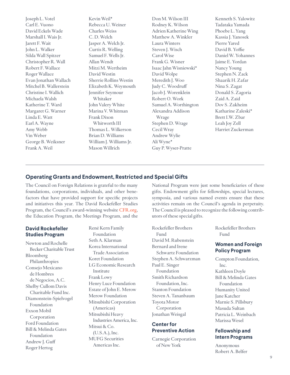Joseph L. Votel Carl E. Vuono David Eckels Wade Marshall I. Wais Jr. Jarett F. Wait John L. Walker Silda Wall Spitzer Christopher R. Wall Robert F. Wallace Roger Wallace Evan Jonathan Wallach Mitchel B. Wallerstein Christine I. Wallich Michaela Walsh Katherine T. Ward Margaret G. Warner Linda E. Watt Earl A. Wayne Amy Webb Vin Weber George B. Weiksner Frank A. Weil

Kevin Weil\* Rebecca U. Weiner Charles Weiss C. D. Welch Jasper A. Welch Jr. Curtis R. Welling Samuel F. Wells Jr. Allan Wendt Mitzi M. Wertheim David Westin Sherrie Rollins Westin Elizabeth K. Weymouth Jennifer Seymour Whitaker John Valery White Marina V. Whitman Frank Dixon Whitworth III Thomas L. Wilkerson Brian D. Williams William J. Williams Jr. Mason Willrich

Don M. Wilson III Rodney K. Wilson Adrien Katherine Wing Matthew A. Winkler Laura Winters Steven J. Wisch Carol Wise Frank G. Wisner Isaac Jahn Wisniewski\* David Wolpe Meredith J. Woo Judy C. Woodruff Jacob J. Worenklein Robert O. Work Samuel A. Worthington Alexandra Addison Wrage Stephen D. Wrage Cecil Wray Andrew Wylie Ali Wyne\* Guy P. Wyser-Pratte

Kenneth S. Yalowitz Tadataka Yamada Phoebe L. Yang Kassia J. Yanosek Pierre Yared David B. Yoffie Daniel W. Yohannes Jaime E. Yordan Nancy Young Stephen N. Zack Shaarik H. Zafar Nina S. Zagat Donald S. Zagoria Zaid A. Zaid Dov S. Zakheim Katharine Zaleski\* Brett I.W. Zbar Leah Joy Zell Harriet Zuckerman

## **Operating Grants and Endowment, Restricted and Special Gifts**

The Council on Foreign Relations is grateful to the many foundations, corporations, individuals, and other benefactors that have provided support for specific projects and initiatives this year. The David Rockefeller Studies Program, the Council's award-winning website CFR.org, the Education Program, the Meetings Program, and the

## **David Rockefeller Studies Program**

Newton and Rochelle Becker Charitable Trust Bloomberg Philanthropies Consejo Mexicano de Hombres de Negocios, A.C. Shelby Cullom Davis Charitable Fund Inc. Diamonstein-Spielvogel Foundation Exxon Mobil Corporation Ford Foundation Bill & Melinda Gates Foundation Andrew J. Guff Roger Hertog

René Kern Family Foundation Seth A. Klarman Korea International Trade Association Koret Foundation LG Economic Research Institute Frank Lowy Henry Luce Foundation Estate of John E. Merow Merow Foundation Mitsubishi Corporation (Americas) Mitsubishi Heavy Industries America, Inc. Mitsui & Co. (U.S.A.), Inc. MUFG Securities Americas Inc.

National Program were just some beneficiaries of these gifts. Endowment gifts for fellowships, special lectures, symposia, and various named events ensure that these activities remain on the Council's agenda in perpetuity. The Council is pleased to recognize the following contributors of these special gifts.

Rockefeller Brothers Fund David M. Rubenstein Bernard and Irene Schwartz Foundation Stephen A. Schwarzman Paul E. Singer Foundation Smith Richardson Foundation, Inc. Stanton Foundation Steven A. Tananbaum Toyota Motor Corporation Jonathan Weisgal

# **Center for Preventive Action**

Carnegie Corporation of New York

Rockefeller Brothers Fund

## **Women and Foreign Policy Program**

Compton Foundation, Inc. Kathleen Doyle Bill & Melinda Gates Foundation Humanity United Jane Katcher Marnie S. Pillsbury Masuda Sultan Patricia L. Weinbach Marissa Wesel

## **Fellowship and Intern Programs**

Anonymous Robert A. Belfer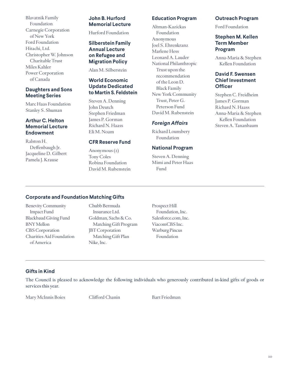Blavatnik Family Foundation Carnegie Corporation of New York Ford Foundation Hitachi, Ltd. Christopher W. Johnson Charitable Trust Miles Kahler Power Corporation of Canada

## **Daughters and Sons Meeting Series**

Marc Haas Foundation Stanley S. Shuman

# **Arthur C. Helton Memorial Lecture Endowment**

Ralston H. Deffenbaugh Jr. Jacqueline D. Gilbert Pamela J. Krause

# **John B. Hurford Memorial Lecture**

Hurford Foundation

# **Silberstein Family Annual Lecture on Refugee and Migration Policy**

Alan M. Silberstein

## **World Economic Update Dedicated to Martin S. Feldstein**

Steven A. Denning John Deutch Stephen Friedman James P. Gorman Richard N. Haass Eli M. Noam

# **CFR Reserve Fund**

Anonymous (2) Tony Coles Robina Foundation David M. Rubenstein

# **Education Program**

Altman-Kazickas Foundation Anonymous Joel S. Ehrenkranz Marlene Hess Leonard A. Lauder National Philanthropic Trust upon the recommendation of the Leon D. Black Family New York Community Trust, Peter G. Peterson Fund David M. Rubenstein

# *Foreign Affairs*

Richard Lounsbery Foundation

# **National Program**

Steven A. Denning Mimi and Peter Haas Fund

## **Outreach Program**

Ford Foundation

# **Stephen M. Kellen Term Member Program**

Anna-Maria & Stephen Kellen Foundation

## **David F. Swensen Chief Investment Officer**

Stephen C. Freidheim James P. Gorman Richard N. Haass Anna-Maria & Stephen Kellen Foundation Steven A. Tananbaum

# **Corporate and Foundation Matching Gifts**

Benevity Community Impact Fund Blackbaud Giving Fund BNY Mellon CBS Corporation Charities Aid Foundation of America

Chubb Bermuda Insurance Ltd. Goldman, Sachs & Co. Matching Gift Program JBT Corporation Matching Gift Plan Nike, Inc.

Prospect Hill Foundation, Inc. Salesforce.com, Inc. ViacomCBS Inc. Warburg Pincus Foundation

# **Gifts in Kind**

The Council is pleased to acknowledge the following individuals who generously contributed in-kind gifts of goods or services this year.

Mary McInnis Boies Clifford Chanin Bart Friedman